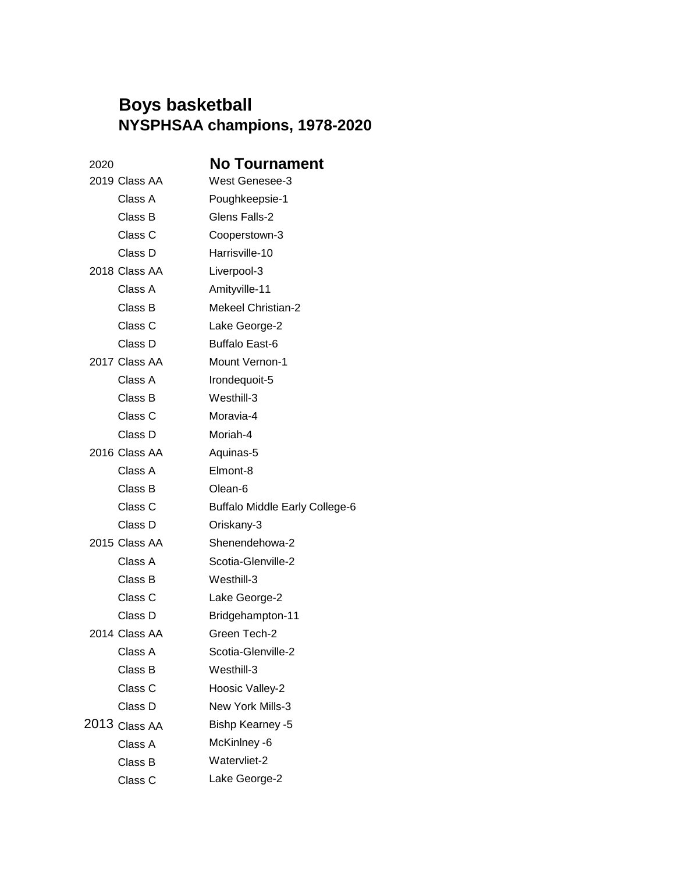## **Boys basketball NYSPHSAA champions, 1978-2020**

| 2020          | <b>No Tournament</b>                  |
|---------------|---------------------------------------|
| 2019 Class AA | West Genesee-3                        |
| Class A       | Poughkeepsie-1                        |
| Class B       | Glens Falls-2                         |
| Class C       | Cooperstown-3                         |
| Class D       | Harrisville-10                        |
| 2018 Class AA | Liverpool-3                           |
| Class A       | Amityville-11                         |
| Class B       | <b>Mekeel Christian-2</b>             |
| Class C       | Lake George-2                         |
| Class D       | <b>Buffalo East-6</b>                 |
| 2017 Class AA | <b>Mount Vernon-1</b>                 |
| Class A       | Irondequoit-5                         |
| Class B       | Westhill-3                            |
| Class C       | Moravia-4                             |
| Class D       | Moriah-4                              |
| 2016 Class AA | Aquinas-5                             |
| Class A       | Elmont-8                              |
| Class B       | Olean-6                               |
| Class C       | <b>Buffalo Middle Early College-6</b> |
| Class D       | Oriskany-3                            |
| 2015 Class AA | Shenendehowa-2                        |
| Class A       | Scotia-Glenville-2                    |
| Class B       | Westhill-3                            |
| Class C       | Lake George-2                         |
| Class D       | Bridgehampton-11                      |
| 2014 Class AA | Green Tech-2                          |
| Class A       | Scotia-Glenville-2                    |
| Class B       | Westhill-3                            |
| Class C       | Hoosic Valley-2                       |
| Class D       | New York Mills-3                      |
| 2013 Class AA | <b>Bishp Kearney -5</b>               |
| Class A       | McKinlney -6                          |
| Class B       | Watervliet-2                          |
| Class C       | Lake George-2                         |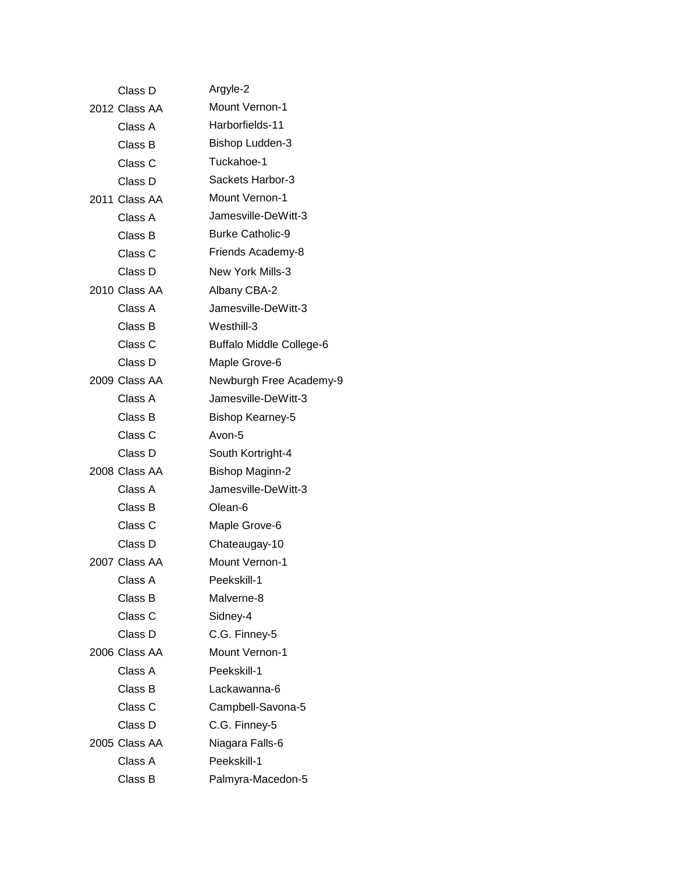| Class D       | Argyle-2                        |
|---------------|---------------------------------|
| 2012 Class AA | <b>Mount Vernon-1</b>           |
| Class A       | Harborfields-11                 |
| Class B       | Bishop Ludden-3                 |
| Class C       | Tuckahoe-1                      |
| Class D       | Sackets Harbor-3                |
| 2011 Class AA | <b>Mount Vernon-1</b>           |
| Class A       | Jamesville-DeWitt-3             |
| Class B       | <b>Burke Catholic-9</b>         |
| Class C       | Friends Academy-8               |
| Class D       | New York Mills-3                |
| 2010 Class AA | Albany CBA-2                    |
| Class A       | Jamesville-DeWitt-3             |
| Class B       | Westhill-3                      |
| Class C       | <b>Buffalo Middle College-6</b> |
| Class D       | Maple Grove-6                   |
| 2009 Class AA | Newburgh Free Academy-9         |
| Class A       | Jamesville-DeWitt-3             |
| Class B       | <b>Bishop Kearney-5</b>         |
| Class C       | Avon-5                          |
| Class D       | South Kortright-4               |
| 2008 Class AA | <b>Bishop Maginn-2</b>          |
| Class A       | Jamesville-DeWitt-3             |
| Class B       | Olean-6                         |
| Class C       | Maple Grove-6                   |
| Class D       | Chateaugay-10                   |
| 2007 Class AA | <b>Mount Vernon-1</b>           |
| Class A       | Peekskill-1                     |
| Class B       | Malverne-8                      |
| Class C       | Sidney-4                        |
| Class D       | C.G. Finney-5                   |
| 2006 Class AA | <b>Mount Vernon-1</b>           |
| Class A       | Peekskill-1                     |
| Class B       | Lackawanna-6                    |
| Class C       | Campbell-Savona-5               |
| Class D       | C.G. Finney-5                   |
| 2005 Class AA | Niagara Falls-6                 |
| Class A       | Peekskill-1                     |
| Class B       | Palmyra-Macedon-5               |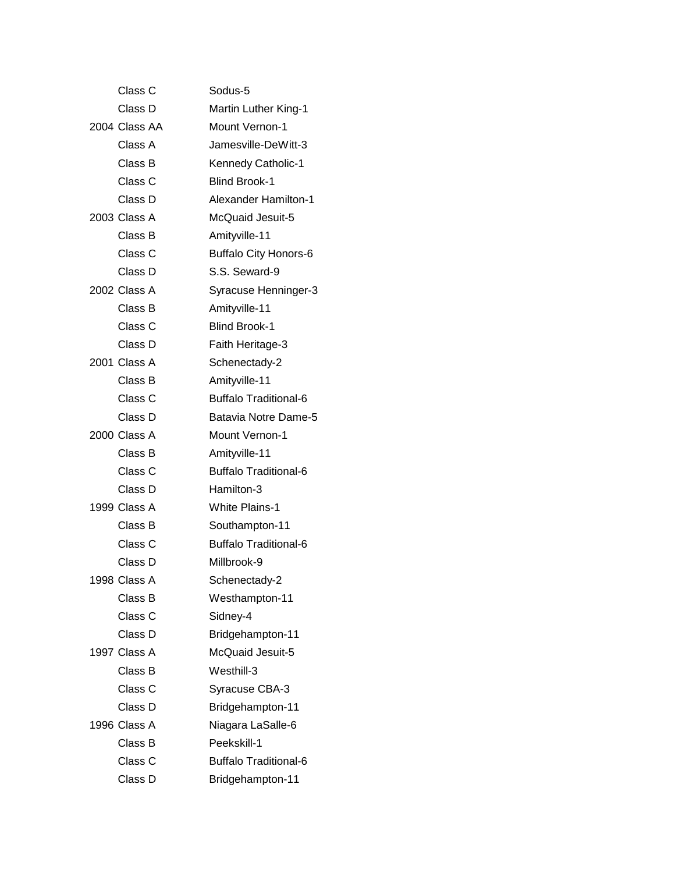| Class C       | Sodus-5                      |
|---------------|------------------------------|
| Class D       | <b>Martin Luther King-1</b>  |
| 2004 Class AA | Mount Vernon-1               |
| Class A       | Jamesville-DeWitt-3          |
| Class B       | Kennedy Catholic-1           |
| Class C       | <b>Blind Brook-1</b>         |
| Class D       | Alexander Hamilton-1         |
| 2003 Class A  | McQuaid Jesuit-5             |
| Class B       | Amityville-11                |
| Class C       | <b>Buffalo City Honors-6</b> |
| Class D       | S.S. Seward-9                |
| 2002 Class A  | Syracuse Henninger-3         |
| Class B       | Amityville-11                |
| Class C       | <b>Blind Brook-1</b>         |
| Class D       | <b>Faith Heritage-3</b>      |
| 2001 Class A  | Schenectady-2                |
| Class B       | Amityville-11                |
| Class C       | <b>Buffalo Traditional-6</b> |
| Class D       | Batavia Notre Dame-5         |
| 2000 Class A  | <b>Mount Vernon-1</b>        |
| Class B       | Amityville-11                |
| Class C       | <b>Buffalo Traditional-6</b> |
| Class D       | Hamilton-3                   |
| 1999 Class A  | <b>White Plains-1</b>        |
| Class B       | Southampton-11               |
| Class C       | <b>Buffalo Traditional-6</b> |
| Class D       | Millbrook-9                  |
| 1998 Class A  | Schenectady-2                |
| Class B       | Westhampton-11               |
| Class C       | Sidney-4                     |
| Class D       | Bridgehampton-11             |
| 1997 Class A  | McQuaid Jesuit-5             |
| Class B       | Westhill-3                   |
| Class C       | Syracuse CBA-3               |
| Class D       | Bridgehampton-11             |
| 1996 Class A  | Niagara LaSalle-6            |
| Class B       | Peekskill-1                  |
| Class C       | <b>Buffalo Traditional-6</b> |
| Class D       | Bridgehampton-11             |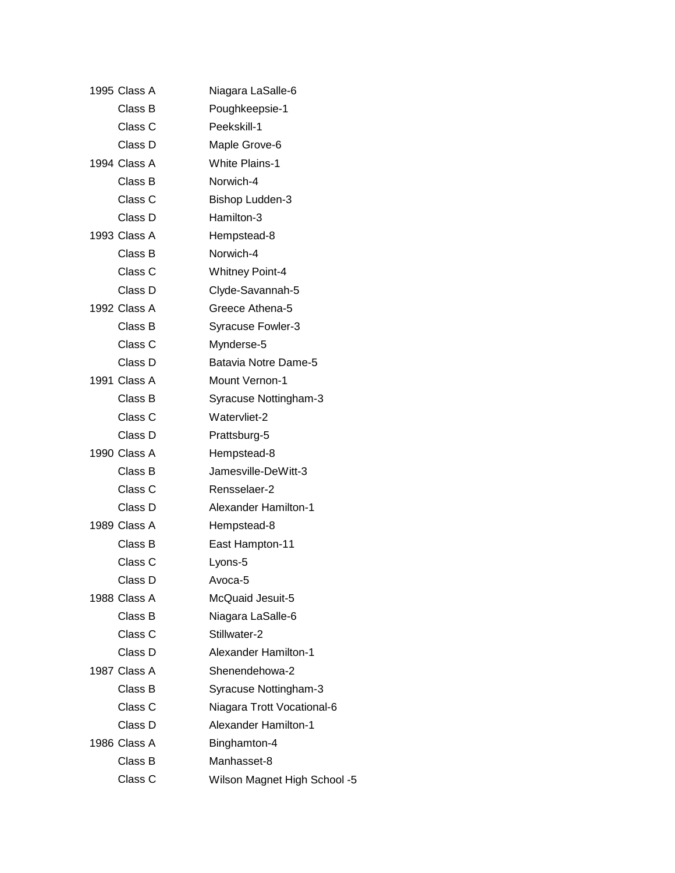| 1995 Class A       | Niagara LaSalle-6            |
|--------------------|------------------------------|
| Class B            | Poughkeepsie-1               |
| Class C            | Peekskill-1                  |
| Class D            | Maple Grove-6                |
| 1994 Class A       | <b>White Plains-1</b>        |
| Class B            | Norwich-4                    |
| Class C            | Bishop Ludden-3              |
| Class D            | Hamilton-3                   |
| 1993 Class A       | Hempstead-8                  |
| Class B            | Norwich-4                    |
| Class <sub>C</sub> | <b>Whitney Point-4</b>       |
| Class D            | Clyde-Savannah-5             |
| 1992 Class A       | Greece Athena-5              |
| Class B            | Syracuse Fowler-3            |
| Class C            | Mynderse-5                   |
| Class D            | Batavia Notre Dame-5         |
| 1991 Class A       | <b>Mount Vernon-1</b>        |
| Class B            | Syracuse Nottingham-3        |
| Class C            | Watervliet-2                 |
| Class D            | Prattsburg-5                 |
| 1990 Class A       | Hempstead-8                  |
| Class B            | Jamesville-DeWitt-3          |
| Class C            | Rensselaer-2                 |
| Class D            | <b>Alexander Hamilton-1</b>  |
| 1989 Class A       | Hempstead-8                  |
| Class B            | East Hampton-11              |
| Class C            | Lyons-5                      |
| Class D            | Avoca-5                      |
| 1988 Class A       | McQuaid Jesuit-5             |
| Class B            | Niagara LaSalle-6            |
| Class C            | Stillwater-2                 |
| Class D            | Alexander Hamilton-1         |
| 1987 Class A       | Shenendehowa-2               |
| Class B            | Syracuse Nottingham-3        |
| Class C            | Niagara Trott Vocational-6   |
| Class D            | Alexander Hamilton-1         |
| 1986 Class A       | Binghamton-4                 |
| Class B            | Manhasset-8                  |
| Class C            | Wilson Magnet High School -5 |